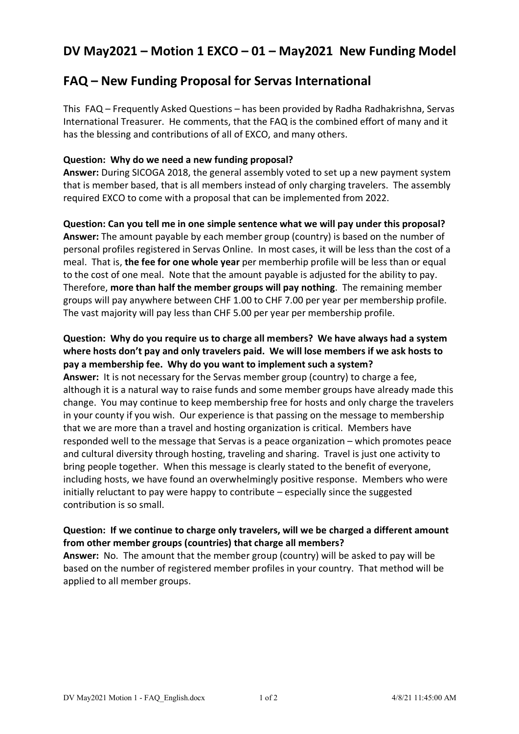# **DV May2021 – Motion 1 EXCO – 01 – May2021 New Funding Model**

# **FAQ – New Funding Proposal for Servas International**

This FAQ – Frequently Asked Questions – has been provided by Radha Radhakrishna, Servas International Treasurer. He comments, that the FAQ is the combined effort of many and it has the blessing and contributions of all of EXCO, and many others.

### **Question: Why do we need a new funding proposal?**

**Answer:** During SICOGA 2018, the general assembly voted to set up a new payment system that is member based, that is all members instead of only charging travelers. The assembly required EXCO to come with a proposal that can be implemented from 2022.

**Question: Can you tell me in one simple sentence what we will pay under this proposal? Answer:** The amount payable by each member group (country) is based on the number of personal profiles registered in Servas Online. In most cases, it will be less than the cost of a meal. That is, **the fee for one whole year** per memberhip profile will be less than or equal to the cost of one meal. Note that the amount payable is adjusted for the ability to pay. Therefore, **more than half the member groups will pay nothing**. The remaining member groups will pay anywhere between CHF 1.00 to CHF 7.00 per year per membership profile. The vast majority will pay less than CHF 5.00 per year per membership profile.

### **Question: Why do you require us to charge all members? We have always had a system where hosts don't pay and only travelers paid. We will lose members if we ask hosts to pay a membership fee. Why do you want to implement such a system?**

**Answer:** It is not necessary for the Servas member group (country) to charge a fee, although it is a natural way to raise funds and some member groups have already made this change. You may continue to keep membership free for hosts and only charge the travelers in your county if you wish. Our experience is that passing on the message to membership that we are more than a travel and hosting organization is critical. Members have responded well to the message that Servas is a peace organization – which promotes peace and cultural diversity through hosting, traveling and sharing. Travel is just one activity to bring people together. When this message is clearly stated to the benefit of everyone, including hosts, we have found an overwhelmingly positive response. Members who were initially reluctant to pay were happy to contribute – especially since the suggested contribution is so small.

## **Question: If we continue to charge only travelers, will we be charged a different amount from other member groups (countries) that charge all members?**

**Answer:** No. The amount that the member group (country) will be asked to pay will be based on the number of registered member profiles in your country. That method will be applied to all member groups.